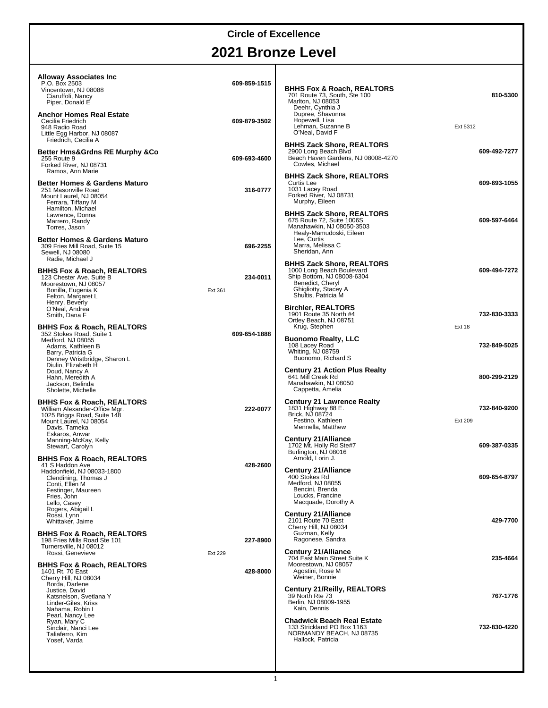# **2021 Bronze Level**

| <b>Alloway Associates Inc.</b><br>P.O. Box 2503<br>Vincentown, NJ 08088<br>Ciaruffoli, Nancy<br>Piper, Donald E<br><b>Anchor Homes Real Estate</b><br>Cecilia Friedrich                                                                                                                            | 609-859-1515<br>609-879-3502 | <b>BHHS Fox &amp; Roach, REALTORS®</b><br>701 Route 73, South, Ste 100<br>Marlton, NJ 08053<br>Deehr, Cynthia J<br>Dupree, Shavonna<br>Hopewell, Lisa           | 810-5300                      |
|----------------------------------------------------------------------------------------------------------------------------------------------------------------------------------------------------------------------------------------------------------------------------------------------------|------------------------------|-----------------------------------------------------------------------------------------------------------------------------------------------------------------|-------------------------------|
| 948 Radio Road<br>Little Egg Harbor, NJ 08087                                                                                                                                                                                                                                                      |                              | Lehman, Suzanne B<br>O'Neal, David F                                                                                                                            | Ext 5312                      |
| Friedrich, Cecilia A<br><b>Better Hms&amp;Grdns RE Murphy &amp;Co</b><br>255 Route 9<br>Forked River, NJ 08731<br>Ramos, Ann Marie                                                                                                                                                                 | 609-693-4600                 | <b>BHHS Zack Shore, REALTORS®</b><br>2900 Long Beach Blvd<br>Beach Haven Gardens, NJ 08008-4270<br>Cowles, Michael                                              | 609-492-7277                  |
| <b>Better Homes &amp; Gardens Maturo</b><br>251 Masonville Road<br>Mount Laurel, NJ 08054<br>Ferrara, Tiffany M                                                                                                                                                                                    | 316-0777                     | <b>BHHS Zack Shore, REALTORS®</b><br>Curtis Lee<br>1031 Lacey Road<br>Forked River, NJ 08731<br>Murphy, Eileen                                                  | 609-693-1055                  |
| Hamilton, Michael<br>Lawrence, Donna<br>Marrero, Randy<br>Torres, Jason                                                                                                                                                                                                                            |                              | BHHS Zack Shore, REALTORS®<br>675 Route 72, Suite 1006S<br>Manahawkin, NJ 08050-3503<br>Healy-Mamudoski, Eileen                                                 | 609-597-6464                  |
| <b>Better Homes &amp; Gardens Maturo</b><br>309 Fries Mill Road, Suite 15<br>Sewell, NJ 08080<br>Radie, Michael J                                                                                                                                                                                  | 696-2255                     | Lee, Curtis<br>Marra, Melissa C<br>Sheridan, Ann                                                                                                                |                               |
| BHHS Fox & Roach, REALTORS®<br>123 Chester Ave. Suite B<br>Moorestown, NJ 08057<br>Bonilla, Eugenia K<br>Felton, Margaret L<br>Henry, Beverly                                                                                                                                                      | 234-0011<br>Ext 361          | <b>BHHS Zack Shore, REALTORS®</b><br>1000 Long Beach Boulevard<br>Ship Bottom, NJ 08008-6304<br>Benedict, Cheryl<br>Ghigliotty, Stacey A<br>Shultis, Patricia M | 609-494-7272                  |
| O'Neal, Andrea<br>Smith, Dana F<br>BHHS Fox & Roach, REALTORS®                                                                                                                                                                                                                                     |                              | Birchler, REALTORS®<br>1901 Route 35 North #4<br>Ortley Beach, NJ 08751<br>Krug, Stephen                                                                        | 732-830-3333<br><b>Ext 18</b> |
| 352 Stokes Road, Suite 1<br>Medford, NJ 08055<br>Adams, Kathleen B<br>Barry, Patricia G<br>Denney Wristbridge, Sharon L                                                                                                                                                                            | 609-654-1888                 | <b>Buonomo Realty, LLC</b><br>108 Lacey Road<br>Whiting, NJ 08759<br>Buonomo, Richard S                                                                         | 732-849-5025                  |
| Diulio, Elizabeth H<br>Doud, Nancy A<br>Hahn, Meredith A<br>Jackson, Belinda<br>Sholette, Michelle                                                                                                                                                                                                 |                              | <b>Century 21 Action Plus Realty</b><br>641 Mill Creek Rd<br>Manahawkin, NJ 08050<br>Cappetta, Amelia                                                           | 800-299-2129                  |
| BHHS Fox & Roach, REALTORS®<br>William Alexander-Office Mgr.<br>1025 Briggs Road, Suite 148<br>Mount Laurel, NJ 08054<br>Davis, Tameka                                                                                                                                                             | 222-0077                     | <b>Century 21 Lawrence Realty</b><br>1831 Highway 88 E.<br>Brick, NJ 08724<br>Festino, Kathleen<br>Mennella, Matthew                                            | 732-840-9200<br>Ext 209       |
| Eskaros, Anwar<br>Manning-McKay, Kelly<br>Stewart, Carolyn<br>BHHS Fox & Roach, REALTORS®                                                                                                                                                                                                          |                              | <b>Century 21/Alliance</b><br>1702 Mt. Holly Rd Ste#7<br>Burlington, NJ 08016<br>Arnold, Lorin J.                                                               | 609-387-0335                  |
| 41 S Haddon Ave<br>Haddonfield, NJ 08033-1800<br>Clendining, Thomas J<br>Conti, Ellen M<br>Festinger, Maureen<br>Fries, John                                                                                                                                                                       | 428-2600                     | <b>Century 21/Alliance</b><br>400 Stokes Rd<br>Medford, NJ 08055<br>Bencini, Brenda<br>Loucks, Francine<br>Macquade, Dorothy A                                  | 609-654-8797                  |
| Lello, Casey<br>Rogers, Abigail L<br>Rossi, Lynn<br>Whittaker, Jaime                                                                                                                                                                                                                               |                              | <b>Century 21/Alliance</b><br>2101 Route 70 East<br>Cherry Hill, NJ 08034                                                                                       | 429-7700                      |
| BHHS Fox & Roach, REALTORS®<br>198 Fries Mills Road Ste 101<br>Turnersville, NJ 08012                                                                                                                                                                                                              | 227-8900                     | Guzman, Kelly<br>Ragonese, Sandra                                                                                                                               |                               |
| Rossi, Genevieve<br>BHHS Fox & Roach, REALTORS®<br>1401 Rt. 70 East<br>Cherry Hill, NJ 08034<br>Borda, Darlene<br>Justice, David<br>Katsnelson, Svetlana Y<br>Linder-Giles, Kriss<br>Nahama, Robin L<br>Pearl, Nancy Lee<br>Ryan, Mary C<br>Sinclair, Nanci Lee<br>Taliaferro, Kim<br>Yosef, Varda | Ext 229<br>428-8000          | <b>Century 21/Alliance</b><br>704 East Main Street Suite K<br>Moorestown, NJ 08057<br>Agostini, Rose M                                                          | 235-4664                      |
|                                                                                                                                                                                                                                                                                                    |                              | Weiner, Bonnie<br>Century 21/Reilly, REALTORS®<br>39 North Rte 73<br>Berlin, NJ 08009-1955<br>Kain, Dennis                                                      | 767-1776                      |
|                                                                                                                                                                                                                                                                                                    |                              | <b>Chadwick Beach Real Estate</b><br>133 Strickland PO Box 1163<br>NORMANDY BEACH, NJ 08735<br>Hallock, Patricia                                                | 732-830-4220                  |
|                                                                                                                                                                                                                                                                                                    |                              |                                                                                                                                                                 |                               |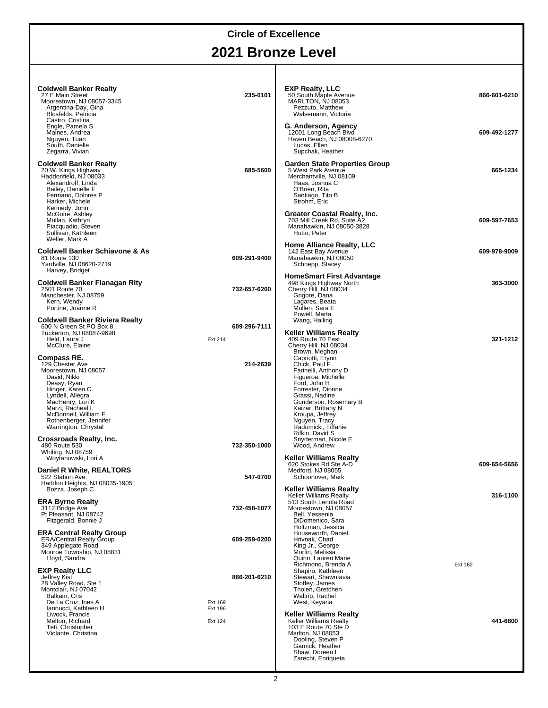## **2021 Bronze Level**

| <b>Coldwell Banker Realty</b><br>27 E Main Street<br>Moorestown, NJ 08057-3345<br>Argentina-Day, Gina<br>Blosfelds, Patricia<br>Castro, Cristina                                                                                               | 235-0101                | <b>EXP Realty, LLC</b><br>50 South Maple Avenue<br>MARLTON, NJ 08053<br>Pezzuto, Matthew<br>Walsemann, Victoria                                                                                                                                  | 866-601-6210 |
|------------------------------------------------------------------------------------------------------------------------------------------------------------------------------------------------------------------------------------------------|-------------------------|--------------------------------------------------------------------------------------------------------------------------------------------------------------------------------------------------------------------------------------------------|--------------|
| Engle, Pamela S<br>Maines, Andrea<br>Nguyen, Tuan<br>South, Danielle<br>Zegarra, Vivian                                                                                                                                                        |                         | G. Anderson, Agency<br>12001 Long Beach Blvd<br>Haven Beach, NJ 08008-6270<br>Lucas, Ellen<br>Supchak, Heather                                                                                                                                   | 609-492-1277 |
| <b>Coldwell Banker Realty</b><br>20 W. Kings Highway<br>Haddonfield, NJ 08033<br>Alexandroff, Linda<br>Bailey, Danielle F<br>Fermano, Dolores P<br>Harker, Michele<br>Kennedy, John                                                            | 685-5600                | <b>Garden State Properties Group</b><br>5 West Park Avenue<br>Merchantville, NJ 08109<br>Haas, Joshua C<br>O'Brien, Rita<br>Santiago, Tito B<br>Strohm, Eric                                                                                     | 665-1234     |
| McGuire, Ashley<br>Mullan, Kathryn<br>Piacquadio, Steven<br>Sullivan, Kathleen<br>Weller, Mark A                                                                                                                                               |                         | Greater Coastal Realty, Inc.<br>703 Mill Creek Rd, Suite A2<br>Manahawkin, NJ 08050-3828<br>Hutto, Peter                                                                                                                                         | 609-597-7653 |
| <b>Coldwell Banker Schiavone &amp; As</b><br>81 Route 130<br>Yardville, NJ 08620-2719<br>Harvey, Bridget                                                                                                                                       | 609-291-9400            | <b>Home Alliance Realty, LLC</b><br>142 East Bay Avenue<br>Manahawkin, NJ 08050<br>Schnepp, Stacey                                                                                                                                               | 609-978-9009 |
| Coldwell Banker Flanagan Rity<br>2501 Route 70<br>Manchester, NJ 08759<br>Kern, Wendy<br>Portine, Joanne R                                                                                                                                     | 732-657-6200            | <b>HomeSmart First Advantage</b><br>498 Kings Highway North<br>Cherry Hill, NJ 08034<br>Grigore, Dana<br>Lagares, Beata<br>Mullen, Sara E                                                                                                        | 363-3000     |
| <b>Coldwell Banker Riviera Realty</b><br>600 N Green St PO Box 8<br>Tuckerton, NJ 08087-9698<br>Held, Laura J<br>McClure, Elaine                                                                                                               | 609-296-7111<br>Ext 214 | Powell, Marta<br>Wang, Hailing<br>Keller Williams Realty<br>409 Route 70 East<br>Cherry Hill, NJ 08034<br>Brown, Meghan                                                                                                                          | 321-1212     |
| Compass RE.<br>129 Chester Ave<br>Moorestown, NJ 08057<br>David, Nikki<br>Deasy, Ryan<br>Hinger, Karen C<br>Lyndell, Allegra<br>MacHenry, Lori K<br>Marzi, Racheal L<br>McDonnell, William F<br>Rothenberger, Jennifer<br>Warrington, Chrystal | 214-2639                | Capriotti, Erynn<br>Chick, Paul F<br>Farinelli, Anthony D<br>Figueroa, Michelle<br>Ford, John H<br>Forrester, Dionne<br>Grassi, Nadine<br>Gunderson, Rosemary B<br>Kaizar, Brittany N<br>Kroupa, Jeffrey<br>Nguyen, Tracy<br>Radomicki, Tiffanie |              |
| Crossroads Realty, Inc.<br>480 Route 530<br>Whiting, NJ 08759<br>Woytanowski, Lori A                                                                                                                                                           | 732-350-1000            | Rifkin. David S<br>Snyderman, Nicole E<br>Wood, Andrew<br><b>Keller Williams Realty</b>                                                                                                                                                          |              |
| Daniel R White, REALTORS®<br>522 Station Ave<br>Haddon Heights, NJ 08035-1905<br>Bozza, Joseph C                                                                                                                                               | 547-0700                | 620 Stokes Rd Ste A-D<br>Medford, NJ 08055<br>Schoonover, Mark<br><b>Keller Williams Realty</b>                                                                                                                                                  | 609-654-5656 |
| <b>ERA Byrne Realty</b><br>3112 Bridge Ave<br>Pt Pleasant, NJ 08742<br>Fitzgerald, Bonnie J                                                                                                                                                    | 732-458-1077            | <b>Keller Williams Realty</b><br>513 South Lenola Road<br>Moorestown, NJ 08057<br>Bell, Yessenia<br>DiDomenico, Sara                                                                                                                             | 316-1100     |
| <b>ERA Central Realty Group</b><br><b>ERA/Central Realty Group</b><br>349 Applegate Road<br>Monroe Township, NJ 08831<br>Lloyd, Sandra                                                                                                         | 609-259-0200            | Holtzman, Jessica<br>Houseworth, Daniel<br>Hrivnak, Chad<br>King Jr., George<br>Morfin, Melissa<br>Quinn, Lauren Marie                                                                                                                           |              |
| <b>EXP Realty LLC</b><br>Jeffrey Kist<br>28 Valley Road, Ste 1<br>Montclair, NJ 07042<br>Balkam, Cris<br>De La Cruz, Ines A                                                                                                                    | 866-201-6210<br>Ext 169 | Richmond, Brenda A<br>Shapiro, Kathleen<br>Stewart, Shawntavia<br>Stoffey, James<br>Tholen, Gretchen<br>Waltrip, Rachel<br>West, Keyana                                                                                                          | Ext 162      |
| Iannucci, Kathleen H<br>Liwock, Francis<br>Melton, Richard<br>Teti, Christopher<br>Violante, Christina                                                                                                                                         | Ext 196<br>Ext 124      | Keller Williams Realty<br><b>Keller Williams Realty</b><br>103 E Route 70 Ste D<br>Marlton, NJ 08053<br>Dooling, Steven P<br>Garnick, Heather<br>Shaw, Doreen L<br>Zarecht, Enriqueta                                                            | 441-6800     |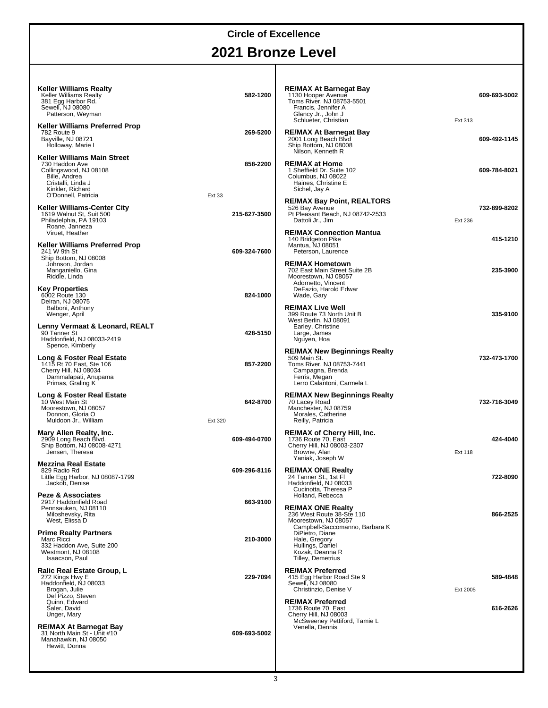# **2021 Bronze Level**

| Keller Williams Realty<br><b>Keller Williams Realty</b><br>381 Egg Harbor Rd.<br>Sewell, NJ 08080<br>Patterson, Weyman             | 582-1200               | <b>RE/MAX At Barnegat Bay</b><br>1130 Hooper Avenue<br>Toms River, NJ 08753-5501<br>Francis, Jennifer A<br>Glancy Jr., John J<br>Schlueter, Christian | 609-693-5002<br>Ext 313 |
|------------------------------------------------------------------------------------------------------------------------------------|------------------------|-------------------------------------------------------------------------------------------------------------------------------------------------------|-------------------------|
| Keller Williams Preferred Prop<br>782 Route 9<br>Bayville, NJ 08721<br>Holloway, Marie L                                           | 269-5200               | <b>RE/MAX At Barnegat Bay</b><br>2001 Long Beach Blvd<br>Ship Bottom, NJ 08008<br>Nilson, Kenneth R                                                   | 609-492-1145            |
| Keller Williams Main Street<br>730 Haddon Ave<br>Collingswood, NJ 08108<br>Bille, Andrea<br>Cristalli, Linda J<br>Kinkler, Richard | 858-2200               | <b>RE/MAX at Home</b><br>1 Sheffield Dr. Suite 102<br>Columbus, NJ 08022<br>Haines, Christine E<br>Sichel, Jay A                                      | 609-784-8021            |
| O'Donnell, Patricia<br><b>Keller Williams-Center City</b><br>1619 Walnut St, Suit 500<br>Philadelphia, PA 19103<br>Roane, Janneza  | Ext 33<br>215-627-3500 | <b>RE/MAX Bay Point, REALTORS®</b><br>526 Bay Avenue<br>Pt Pleasant Beach, NJ 08742-2533<br>Dattoli Jr., Jim                                          | 732-899-8202<br>Ext 236 |
| Viruet, Heather<br><b>Keller Williams Preferred Prop</b><br>241 W 9th St                                                           | 609-324-7600           | <b>RE/MAX Connection Mantua</b><br>140 Bridgeton Pike<br>Mantua, NJ 08051<br>Peterson, Laurence                                                       | 415-1210                |
| Ship Bottom, NJ 08008<br>Johnson, Jordan<br>Manganiello, Gina<br>Riddle, Linda                                                     |                        | <b>RE/MAX Hometown</b><br>702 East Main Street Suite 2B<br>Moorestown, NJ 08057<br>Adornetto, Vincent                                                 | 235-3900                |
| <b>Key Properties</b><br>6002 Route 130<br>Delran, NJ 08075<br>Balboni, Anthony<br>Wenger, April                                   | 824-1000               | DeFazio, Harold Edwar<br>Wade, Gary<br><b>RE/MAX Live Well</b><br>399 Route 73 North Unit B                                                           | 335-9100                |
| Lenny Vermaat & Leonard, REALT<br>90 Tanner St<br>Haddonfield, NJ 08033-2419<br>Spence, Kimberly                                   | 428-5150               | West Berlin, NJ 08091<br>Earley, Christine<br>Large, James<br>Nguyen, Hoa                                                                             |                         |
| Long & Foster Real Estate<br>1415 Rt 70 East, Ste 106<br>Cherry Hill, NJ 08034<br>Dammalapati, Anupama<br>Primas, Graling K        | 857-2200               | <b>RE/MAX New Beginnings Realty</b><br>509 Main St.<br>Toms River, NJ 08753-7441<br>Campagna, Brenda<br>Ferris, Megan<br>Lerro Calantoni, Carmela L   | 732-473-1700            |
| Long & Foster Real Estate<br>10 West Main St<br>Moorestown, NJ 08057<br>Donnon, Gloria O<br>Muldoon Jr., William                   | 642-8700<br>Ext 320    | <b>RE/MAX New Beginnings Realty</b><br>70 Lacey Road<br>Manchester, NJ 08759<br>Morales, Catherine<br>Reilly, Patricia                                | 732-716-3049            |
| Mary Allen Realty, Inc.<br>2909 Long Beach Blvd.<br>Ship Bottom, NJ 08008-4271<br>Jensen, Theresa                                  | 609-494-0700           | <b>RE/MAX of Cherry Hill, Inc.</b><br>1736 Route 70, East<br>Cherry Hill, NJ 08003-2307<br>Browne, Alan<br>Yaniak, Joseph W                           | 424-4040<br>Ext 118     |
| <b>Mezzina Real Estate</b><br>829 Radio Rd<br>Little Egg Harbor, NJ 08087-1799<br>Jackob, Denise                                   | 609-296-8116           | <b>RE/MAX ONE Realty</b><br>24 Tanner St., 1st Fl<br>Haddonfield, NJ 08033<br>Cucinotta, Theresa P                                                    | 722-8090                |
| Peze & Associates<br>2917 Haddonfield Road<br>Pennsauken, NJ 08110<br>Miloshevsky, Rita<br>West, Elissa D                          | 663-9100               | Holland, Rebecca<br><b>RE/MAX ONE Realty</b><br>236 West Route 38-Ste 110<br>Moorestown, NJ 08057                                                     | 866-2525                |
| <b>Prime Realty Partners</b><br>Marc Ricci<br>332 Haddon Ave. Suite 200<br>Westmont, NJ 08108<br>Isaacson, Paul                    | 210-3000               | Campbell-Saccomanno, Barbara K<br>DiPietro, Diane<br>Hale, Gregory<br>Hullings, Daniel<br>Kozak, Deanna R<br>Tilley, Demetrius                        |                         |
| Ralic Real Estate Group, L<br>272 Kings Hwy E<br>Haddonfield, NJ 08033<br>Brogan, Julie                                            | 229-7094               | <b>RE/MAX Preferred</b><br>415 Egg Harbor Road Ste 9<br>Sewell, NJ 08080<br>Christinzio, Denise V                                                     | 589-4848<br>Ext 2005    |
| Del Pizzo, Steven<br>Quinn, Edward<br>Saler, David<br>Unger, Mary                                                                  |                        | <b>RE/MAX Preferred</b><br>1736 Route 70 East<br>Cherry Hill, NJ 08003<br>McSweeney Pettiford, Tamie L                                                | 616-2626                |
| <b>RE/MAX At Barnegat Bay</b><br>31 North Main St - Unit #10<br>Manahawkin, NJ 08050<br>Hewitt, Donna                              | 609-693-5002           | Venella, Dennis                                                                                                                                       |                         |
|                                                                                                                                    |                        |                                                                                                                                                       |                         |